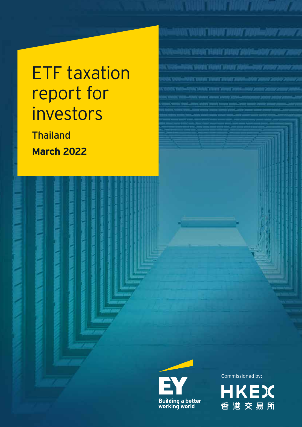# ETF taxation report for investors

Thailand **March 2022**





Commissioned by:

BANK YABA<mark>DI TABAH TARAH TASAN-2000 SEBA</mark>

NA VINA HENT DINITANGANG 200

Antoni Virgili "Virgili Tarang "programmati "program"

.<br>1989. svojna povrat privat popul<sub>n</sub>ačav pr

ACAMACANALYANI 2001-AAV 200

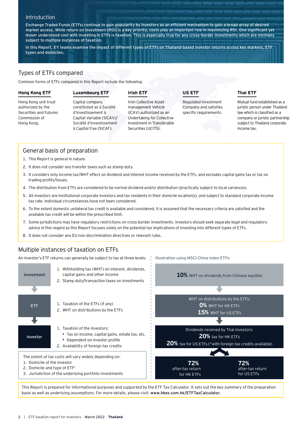## Introduction

Exchange Traded Funds (ETFs) continue to gain popularity by investors as an efficient mechanism to gain a broad array of desired market access. While return on investment (ROI) is a key priority, costs play an important role in maximizing ROI. One significant yet lesser understood cost with investing in ETFs is taxation. This is especially true for any cross-border investments which are normally subject to multiple instances of taxation.

In this Report, EY teams examine the impact of different types of ETFs on Thailand-based investor returns across key markets, ETF types and domiciles.

# Types of ETFs compared

Common forms of ETFs compared in this Report include the following:

### **Hong Kong ETF**

# **Luxembourg ETF**

# **Irish ETF**

Hong Kong unit trust authorized by the Securities and Futures Commission of Hong Kong.

Capital company constituted as a Société d'Investissement à Capital Variable (SICAV)/ Société d'Investissement à Capital Fixe (SICAF).

Irish Collective Assetmanagement Vehicle (ICAV) authorized as an Undertaking for Collective Investment in Transferable Securities (UCITS).

**US ETF**

Illustration using MSCI China Index ETFs:

Regulated Investment Company and satisfies specific requirements.

# **Thai ETF**

Mutual fund established as a juristic person under Thailand law which is classified as a company or juristic partnership subject to Thailand corporate income tax.

# General basis of preparation

- 1. This Report is general in nature.
- 2. It does not consider any transfer taxes such as stamp duty.
- 3. It considers only income tax/WHT effect on dividend and interest income received by the ETFs, and excludes capital gains tax or tax on trading profits/losses.
- 4. The distribution from ETFs are considered to be normal dividend and/or distribution (practically subject to local variances).
- 5. All investors are institutional corporate investors and tax residents in their domicile location(s), and subject to standard corporate income tax rate. Individual circumstances have not been considered.
- 6. To the extent domestic unilateral tax credit is available and considered, it is assumed that the necessary criteria are satisfied and the available tax credit will be within the prescribed limit.
- 7. Some jurisdictions may have regulatory restrictions on cross-border investments. Investors should seek separate legal and regulatory advice in this regard as this Report focuses solely on the potential tax implications of investing into different types of ETFs.
- 8. It does not consider any EU non-discrimination directives or relevant rules.

# Multiple instances of taxation on ETFs

An investor's ETF returns can generally be subject to tax at three levels:



This Report is prepared for informational purposes and supported by the ETF Tax Calculator. It sets out the key summary of the preparation basis as well as underlying assumptions. For more details, please visit: www.hkex.com.hk/ETFTaxCalculator.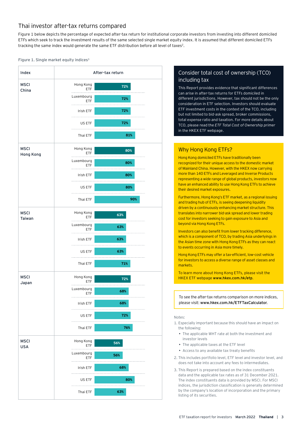# Thai investor after-tax returns compared

Figure 1 below depicts the percentage of expected after-tax return for institutional corporate investors from investing into different domiciled ETFs which seek to track the investment results of the same selected single market equity index. It is assumed that different domiciled ETFs tracking the same index would generate the same ETF distribution before all level of taxes<sup>2</sup>.

### Figure 1. Single market equity indices<sup>3</sup>



# Consider total cost of ownership (TCO) including tax

This Report provides evidence that significant differences can arise in after-tax returns for ETFs domiciled in different jurisdictions. However, tax should not be the only consideration in ETF selection. Investors should evaluate ETF investment costs in the context of the TCO, including but not limited to bid-ask spread, broker commissions, total expense ratio and taxation. For more details about TCO, please read the *ETF Total Cost of Ownership primer* in the HKEX ETF webpage.

# Why Hong Kong ETFs?

Hong Kong domiciled ETFs have traditionally been recognized for their unique access to the domestic market of Mainland China. However, with the HKEX now carrying more than 140 ETFs and Leveraged and Inverse Products representing a wide range of global products, investors now have an enhanced ability to use Hong Kong ETFs to achieve their desired market exposures.

Furthermore, Hong Kong's ETF market, as a regional issuing and trading hub of ETFs, is seeing deepening liquidity driven by a continuously enhancing market structure. This translates into narrower bid-ask spread and lower trading cost for investors seeking to gain exposure to Asia and beyond via Hong Kong ETFs.

Investors can also benefit from lower tracking difference, which is a component of TCO, by trading Asia underlyings in the Asian time zone with Hong Kong ETFs as they can react to events occurring in Asia more timely.

Hong Kong ETFs may offer a tax-efficient, low-cost vehicle for investors to access a diverse range of asset classes and markets.

To learn more about Hong Kong ETFs, please visit the HKEX ETF webpage www.hkex.com.hk/etp.

To see the after-tax returns comparison on more indices, please visit: www.hkex.com.hk/ETFTaxCalculator.

#### Notes:

- 1. Especially important because this should have an impact on the following:
	- The applicable WHT rate at both the investment and investor levels
	- The applicable taxes at the ETF level
	- Access to any available tax treaty benefits
- 2. This includes portfolio level, ETF level and investor level, and does not take into account any fees to intermediates.
- 3. This Report is prepared based on the index constituents data and the applicable tax rates as of 31 December 2021. The index constituents data is provided by MSCI. For MSCI indices, the jurisdiction classification is generally determined by the company's location of incorporation and the primary listing of its securities.